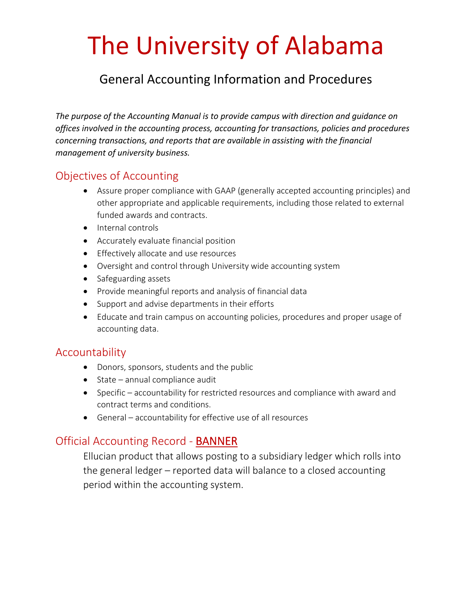# The University of Alabama

## General Accounting Information and Procedures

*The purpose of the Accounting Manual is to provide campus with direction and guidance on offices involved in the accounting process, accounting for transactions, policies and procedures concerning transactions, and reports that are available in assisting with the financial management of university business.*

## Objectives of Accounting

- Assure proper compliance with GAAP (generally accepted accounting principles) and other appropriate and applicable requirements, including those related to external funded awards and contracts.
- Internal controls
- Accurately evaluate financial position
- **•** Effectively allocate and use resources
- Oversight and control through University wide accounting system
- Safeguarding assets
- Provide meaningful reports and analysis of financial data
- Support and advise departments in their efforts
- Educate and train campus on accounting policies, procedures and proper usage of accounting data.

### Accountability

- Donors, sponsors, students and the public
- $\bullet$  State annual compliance audit
- Specific accountability for restricted resources and compliance with award and contract terms and conditions.
- General accountability for effective use of all resources

## Official Accounting Record ‐ BANNER

Ellucian product that allows posting to a subsidiary ledger which rolls into the general ledger – reported data will balance to a closed accounting period within the accounting system.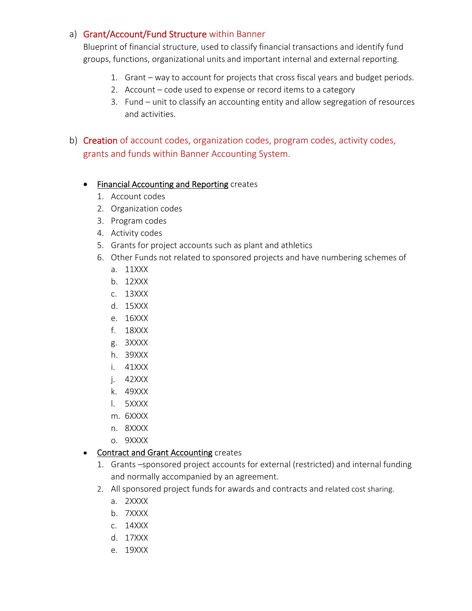#### a) Grant/Account/Fund Structure within Banner

Blueprint of financial structure, used to classify financial transactions and identify fund groups, functions, organizational units and important internal and external reporting.

- 1. Grant way to account for projects that cross fiscal years and budget periods.
- 2. Account code used to expense or record items to a category
- 3. Fund unit to classify an accounting entity and allow segregation of resources and activities.
- b) Creation of account codes, organization codes, program codes, activity codes, grants and funds within Banner Accounting System.

#### **•** Financial Accounting and Reporting creates

- 1. Account codes
- 2. Organization codes
- 3. Program codes
- 4. Activity codes
- 5. Grants for project accounts such as plant and athletics
- 6. Other Funds not related to sponsored projects and have numbering schemes of
	- a. 11XXX
	- b. 12XXX
	- c. 13XXX
	- d. 15XXX
	- e. 16XXX
	- f. 18XXX
	- g. 3XXXX
	- h. 39XXX
	- i. 41XXX
	- j. 42XXX
	- k. 49XXX
	- l. 5XXXX
	- m. 6XXXX
	- n. 8XXXX
	- o. 9XXXX

#### • Contract and Grant Accounting creates

- 1. Grants –sponsored project accounts for external (restricted) and internal funding and normally accompanied by an agreement.
- 2. All sponsored project funds for awards and contracts and related cost sharing.
	- a. 2XXXX
	- b. 7XXXX
	- c. 14XXX
	- d. 17XXX
	- e. 19XXX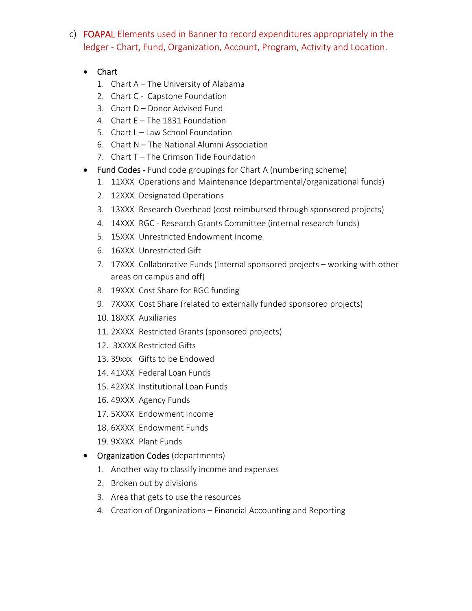- c) FOAPAL Elements used in Banner to record expenditures appropriately in the ledger ‐ Chart, Fund, Organization, Account, Program, Activity and Location.
	- Chart
		- 1. Chart A The University of Alabama
		- 2. Chart C Capstone Foundation
		- 3. Chart D Donor Advised Fund
		- 4. Chart E The 1831 Foundation
		- 5. Chart L Law School Foundation
		- 6. Chart N The National Alumni Association
		- 7. Chart T The Crimson Tide Foundation
	- Fund Codes Fund code groupings for Chart A (numbering scheme)
		- 1. 11XXX Operations and Maintenance (departmental/organizational funds)
		- 2. 12XXX Designated Operations
		- 3. 13XXX Research Overhead (cost reimbursed through sponsored projects)
		- 4. 14XXX RGC ‐ Research Grants Committee (internal research funds)
		- 5. 15XXX Unrestricted Endowment Income
		- 6. 16XXX Unrestricted Gift
		- 7. 17XXX Collaborative Funds (internal sponsored projects working with other areas on campus and off)
		- 8. 19XXX Cost Share for RGC funding
		- 9. 7XXXX Cost Share (related to externally funded sponsored projects)
		- 10. 18XXX Auxiliaries
		- 11. 2XXXX Restricted Grants (sponsored projects)
		- 12. 3XXXX Restricted Gifts
		- 13. 39xxx Gifts to be Endowed
		- 14. 41XXX Federal Loan Funds
		- 15. 42XXX Institutional Loan Funds
		- 16. 49XXX Agency Funds
		- 17. 5XXXX Endowment Income
		- 18. 6XXXX Endowment Funds
		- 19. 9XXXX Plant Funds
	- Organization Codes (departments)
		- 1. Another way to classify income and expenses
		- 2. Broken out by divisions
		- 3. Area that gets to use the resources
		- 4. Creation of Organizations Financial Accounting and Reporting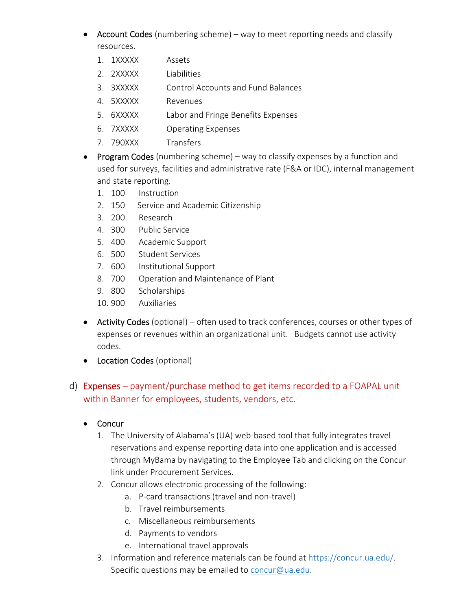- Account Codes (numbering scheme) way to meet reporting needs and classify resources.
	- 1. 1XXXXX Assets
	- 2. 2XXXXX Liabilities
	- 3. 3XXXXX Control Accounts and Fund Balances
	- 4. 5XXXXX Revenues
	- 5. 6XXXXX Labor and Fringe Benefits Expenses
	- 6. 7XXXXX Operating Expenses
	- 7. 790XXX Transfers
- **Program Codes** (numbering scheme) way to classify expenses by a function and used for surveys, facilities and administrative rate (F&A or IDC), internal management and state reporting.
	- 1. 100 Instruction
	- 2. 150 Service and Academic Citizenship
	- 3. 200 Research
	- 4. 300 Public Service
	- 5. 400 Academic Support
	- 6. 500 Student Services
	- 7. 600 Institutional Support
	- 8. 700 Operation and Maintenance of Plant
	- 9. 800 Scholarships
	- 10. 900 Auxiliaries
- Activity Codes (optional) often used to track conferences, courses or other types of expenses or revenues within an organizational unit. Budgets cannot use activity codes.
- Location Codes (optional)

#### d) Expenses – payment/purchase method to get items recorded to a FOAPAL unit within Banner for employees, students, vendors, etc.

- Concur
	- 1. The University of Alabama's (UA) web‐based tool that fully integrates travel reservations and expense reporting data into one application and is accessed through MyBama by navigating to the Employee Tab and clicking on the Concur link under Procurement Services.
	- 2. Concur allows electronic processing of the following:
		- a. P-card transactions (travel and non-travel)
		- b. Travel reimbursements
		- c. Miscellaneous reimbursements
		- d. Payments to vendors
		- e. International travel approvals
	- 3. Information and reference materials can be found at https://concur.ua.edu/. Specific questions may be emailed to concur@ua.edu.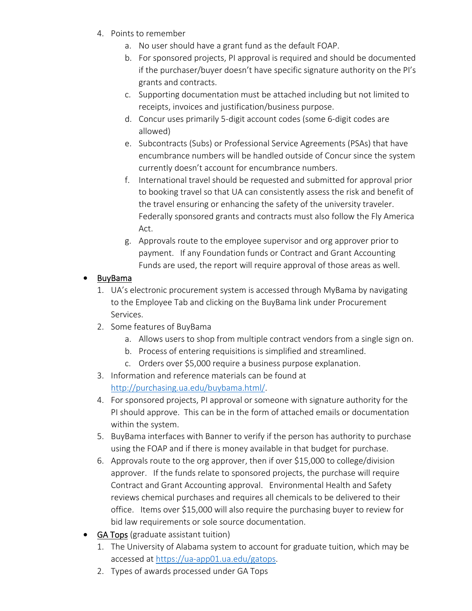- 4. Points to remember
	- a. No user should have a grant fund as the default FOAP.
	- b. For sponsored projects, PI approval is required and should be documented if the purchaser/buyer doesn't have specific signature authority on the PI's grants and contracts.
	- c. Supporting documentation must be attached including but not limited to receipts, invoices and justification/business purpose.
	- d. Concur uses primarily 5‐digit account codes (some 6‐digit codes are allowed)
	- e. Subcontracts (Subs) or Professional Service Agreements (PSAs) that have encumbrance numbers will be handled outside of Concur since the system currently doesn't account for encumbrance numbers.
	- f. International travel should be requested and submitted for approval prior to booking travel so that UA can consistently assess the risk and benefit of the travel ensuring or enhancing the safety of the university traveler. Federally sponsored grants and contracts must also follow the Fly America Act.
	- g. Approvals route to the employee supervisor and org approver prior to payment. If any Foundation funds or Contract and Grant Accounting Funds are used, the report will require approval of those areas as well.

#### • BuyBama

- 1. UA's electronic procurement system is accessed through MyBama by navigating to the Employee Tab and clicking on the BuyBama link under Procurement Services.
- 2. Some features of BuyBama
	- a. Allows users to shop from multiple contract vendors from a single sign on.
	- b. Process of entering requisitions is simplified and streamlined.
	- c. Orders over \$5,000 require a business purpose explanation.
- 3. Information and reference materials can be found at http://purchasing.ua.edu/buybama.html/.
- 4. For sponsored projects, PI approval or someone with signature authority for the PI should approve. This can be in the form of attached emails or documentation within the system.
- 5. BuyBama interfaces with Banner to verify if the person has authority to purchase using the FOAP and if there is money available in that budget for purchase.
- 6. Approvals route to the org approver, then if over \$15,000 to college/division approver. If the funds relate to sponsored projects, the purchase will require Contract and Grant Accounting approval. Environmental Health and Safety reviews chemical purchases and requires all chemicals to be delivered to their office. Items over \$15,000 will also require the purchasing buyer to review for bid law requirements or sole source documentation.
- GA Tops (graduate assistant tuition)
	- 1. The University of Alabama system to account for graduate tuition, which may be accessed at https://ua‐app01.ua.edu/gatops.
	- 2. Types of awards processed under GA Tops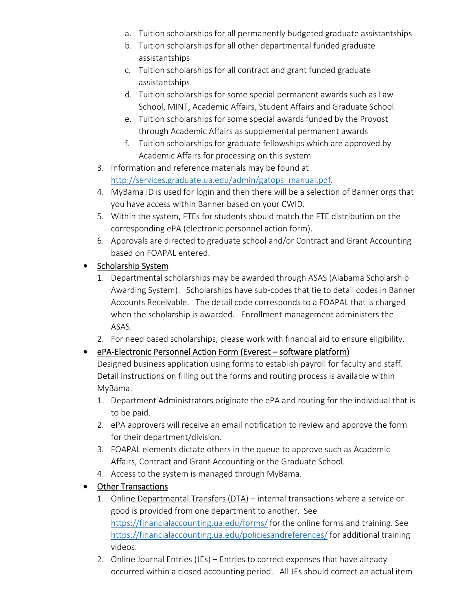- a. Tuition scholarships for all permanently budgeted graduate assistantships
- b. Tuition scholarships for all other departmental funded graduate assistantships
- c. Tuition scholarships for all contract and grant funded graduate assistantships
- d. Tuition scholarships for some special permanent awards such as Law School, MINT, Academic Affairs, Student Affairs and Graduate School.
- e. Tuition scholarships for some special awards funded by the Provost through Academic Affairs as supplemental permanent awards
- f. Tuition scholarships for graduate fellowships which are approved by Academic Affairs for processing on this system
- 3. Information and reference materials may be found at http://services.graduate.ua.edu/admin/gatops\_manual.pdf.
- 4. MyBama ID is used for login and then there will be a selection of Banner orgs that you have access within Banner based on your CWID.
- 5. Within the system, FTEs for students should match the FTE distribution on the corresponding ePA (electronic personnel action form).
- 6. Approvals are directed to graduate school and/or Contract and Grant Accounting based on FOAPAL entered.

#### • Scholarship System

- 1. Departmental scholarships may be awarded through ASAS (Alabama Scholarship Awarding System). Scholarships have sub‐codes that tie to detail codes in Banner Accounts Receivable. The detail code corresponds to a FOAPAL that is charged when the scholarship is awarded. Enrollment management administers the ASAS.
- 2. For need based scholarships, please work with financial aid to ensure eligibility.

#### ● ePA-Electronic Personnel Action Form (Everest – software platform)

Designed business application using forms to establish payroll for faculty and staff. Detail instructions on filling out the forms and routing process is available within MyBama.

- 1. Department Administrators originate the ePA and routing for the individual that is to be paid.
- 2. ePA approvers will receive an email notification to review and approve the form for their department/division.
- 3. FOAPAL elements dictate others in the queue to approve such as Academic Affairs, Contract and Grant Accounting or the Graduate School.
- 4. Access to the system is managed through MyBama.
- Other Transactions
	- 1. Online Departmental Transfers (DTA) internal transactions where a service or good is provided from one department to another. See https://financialaccounting.ua.edu/forms/ for the online forms and training. See https://financialaccounting.ua.edu/policiesandreferences/ for additional training videos.
	- 2. Online Journal Entries (JEs) Entries to correct expenses that have already occurred within a closed accounting period. All JEs should correct an actual item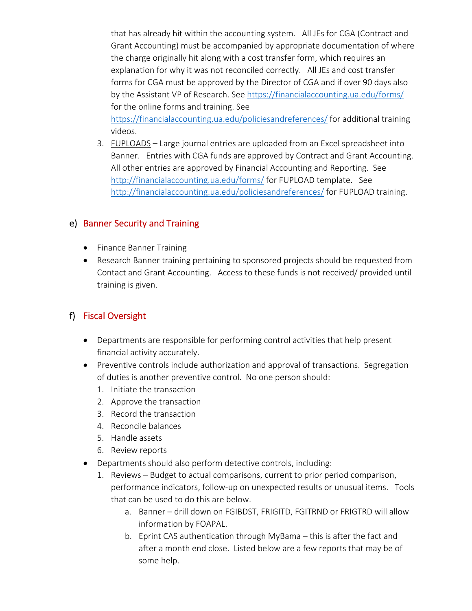that has already hit within the accounting system. All JEs for CGA (Contract and Grant Accounting) must be accompanied by appropriate documentation of where the charge originally hit along with a cost transfer form, which requires an explanation for why it was not reconciled correctly. All JEs and cost transfer forms for CGA must be approved by the Director of CGA and if over 90 days also by the Assistant VP of Research. See https://financialaccounting.ua.edu/forms/ for the online forms and training. See

https://financialaccounting.ua.edu/policiesandreferences/ for additional training videos.

3. FUPLOADS – Large journal entries are uploaded from an Excel spreadsheet into Banner. Entries with CGA funds are approved by Contract and Grant Accounting. All other entries are approved by Financial Accounting and Reporting. See http://financialaccounting.ua.edu/forms/ for FUPLOAD template. See http://financialaccounting.ua.edu/policiesandreferences/ for FUPLOAD training.

#### e) Banner Security and Training

- Finance Banner Training
- Research Banner training pertaining to sponsored projects should be requested from Contact and Grant Accounting. Access to these funds is not received/ provided until training is given.

#### f) Fiscal Oversight

- Departments are responsible for performing control activities that help present financial activity accurately.
- Preventive controls include authorization and approval of transactions. Segregation of duties is another preventive control. No one person should:
	- 1. Initiate the transaction
	- 2. Approve the transaction
	- 3. Record the transaction
	- 4. Reconcile balances
	- 5. Handle assets
	- 6. Review reports
- Departments should also perform detective controls, including:
	- 1. Reviews Budget to actual comparisons, current to prior period comparison, performance indicators, follow-up on unexpected results or unusual items. Tools that can be used to do this are below.
		- a. Banner drill down on FGIBDST, FRIGITD, FGITRND or FRIGTRD will allow information by FOAPAL.
		- b. Eprint CAS authentication through MyBama this is after the fact and after a month end close. Listed below are a few reports that may be of some help.